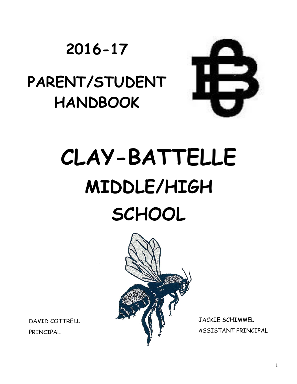# **2016-17**

# **PARENT/STUDENT HANDBOOK**



# **CLAY-BATTELLE MIDDLE/HIGH SCHOOL**



DAVID COTTRELL PRINCIPAL

JACKIE SCHIMMEL ASSISTANT PRINCIPAL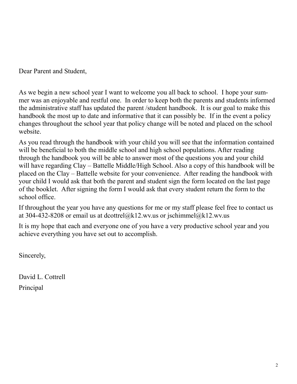Dear Parent and Student,

As we begin a new school year I want to welcome you all back to school. I hope your summer was an enjoyable and restful one. In order to keep both the parents and students informed the administrative staff has updated the parent /student handbook. It is our goal to make this handbook the most up to date and informative that it can possibly be. If in the event a policy changes throughout the school year that policy change will be noted and placed on the school website.

As you read through the handbook with your child you will see that the information contained will be beneficial to both the middle school and high school populations. After reading through the handbook you will be able to answer most of the questions you and your child will have regarding Clay – Battelle Middle/High School. Also a copy of this handbook will be placed on the Clay – Battelle website for your convenience. After reading the handbook with your child I would ask that both the parent and student sign the form located on the last page of the booklet. After signing the form I would ask that every student return the form to the school office.

If throughout the year you have any questions for me or my staff please feel free to contact us at 304-432-8208 or email us at dcottrel@k12.wv.us or jschimmel@k12.wv.us

It is my hope that each and everyone one of you have a very productive school year and you achieve everything you have set out to accomplish.

Sincerely,

David L. Cottrell Principal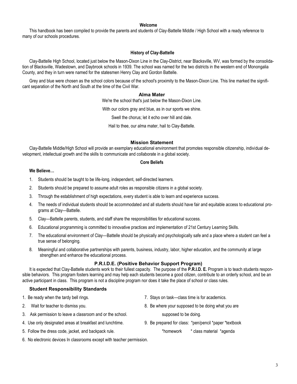#### **Welcome**

This handbook has been compiled to provide the parents and students of Clay-Battelle Middle / High School with a ready reference to many of our schools procedures.

#### **History of Clay-Battelle**

Clay-Battelle High School, located just below the Mason-Dixon Line in the Clay-District, near Blacksville, WV, was formed by the consolidation of Blacksville, Wadestown, and Daybrook schools in 1939. The school was named for the two districts in the western end of Monongalia County, and they in turn were named for the statesmen Henry Clay and Gordon Battelle.

Grey and blue were chosen as the school colors because of the school's proximity to the Mason-Dixon Line. This line marked the significant separation of the North and South at the time of the Civil War.

#### **Alma Mater**

We're the school that's just below the Mason-Dixon Line.

With our colors gray and blue, as in our sports we shine.

Swell the chorus; let it echo over hill and dale.

Hail to thee, our alma mater, hail to Clay-Battelle.

#### **Mission Statement**

Clay-Battelle Middle/High School will provide an exemplary educational environment that promotes responsible citizenship, individual development, intellectual growth and the skills to communicate and collaborate in a global society.

#### **Core Beliefs**

#### **We Believe…**

- 1. Students should be taught to be life-long, independent, self-directed learners.
- 2. Students should be prepared to assume adult roles as responsible citizens in a global society.
- 3. Through the establishment of high expectations, every student is able to learn and experience success.
- 4. The needs of individual students should be accommodated and all students should have fair and equitable access to educational programs at Clay—Battelle.
- 5. Clay—Battelle parents, students, and staff share the responsibilities for educational success.
- 6. Educational programming is committed to innovative practices and implementation of 21st Century Learning Skills.
- 7. The educational environment of Clay—Battelle should be physically and psychologically safe and a place where a student can feel a true sense of belonging.
- 8. Meaningful and collaborative partnerships with parents, business, industry, labor, higher education, and the community at large strengthen and enhance the educational process.

#### **P.R.I.D.E. (Positive Behavior Support Program)**

It is expected that Clay-Battelle students work to their fullest capacity. The purpose of the **P.R.I.D. E.** Program is to teach students responsible behaviors. This program fosters learning and may help each students become a good citizen, contribute to an orderly school, and be an active participant in class. This program is not a discipline program nor does it take the place of school or class rules.

#### **Student Responsibility Standards**

- 1. Be ready when the tardy bell rings. 7. Stays on task—class time is for academics.
- 
- 3. Ask permission to leave a classroom and or the school. Supposed to be doing.
- 4. Use only designated areas at breakfast and lunchtime. 9. Be prepared for class: \*pen/pencil \*paper \*textbook
- 5. Follow the dress code, jacket, and backpack rule. \*homework \* class material \*agenda
- 2. Wait for teacher to dismiss you. 8. Be where your supposed to be doing what you are
	-
	- -
- 6. No electronic devices In classrooms except with teacher permission.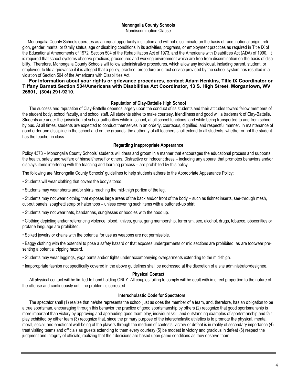#### **Monongalia County Schools**

Nondiscrimination Clause

 Monongalia County Schools operates as an equal opportunity institution and will not discriminate on the basis of race, national origin, religion, gender, marital or family status, age or disabling conditions in its activities, programs, or employment practices as required in Title IX of the Educational Amendments of 1972, Section 504 of the Rehabilitation Act of 1973, and the Americans with Disabilities Act (ADA) of 1990. It is required that school systems observe practices, procedures and working environment which are free from discrimination on the basis of disability. Therefore, Monongalia County Schools will follow administrative procedures, which allow any individual, including parent, student, or employee, to file a grievance if it is alleged that a policy, practice, procedure or direct service provided by the school system has resulted in a violation of Section 504 of the Americans with Disabilities Act.

#### **For information about your rights or grievance procedures, contact Adam Henkins, Title IX Coordinator or Tiffany Barnett Section 504/Americans with Disabilities Act Coordinator, 13 S. High Street, Morgantown, WV 26501, (304) 291-9210.**

#### **Reputation of Clay-Battelle High School**

The success and reputation of Clay-Battelle depends largely upon the conduct of its students and their attitudes toward fellow members of the student body, school faculty, and school staff. All students strive to make courtesy, friendliness and good will a trademark of Clay-Battelle. Students are under the jurisdiction of school authorities while in school, at all school functions, and while being transported to and from school by bus. At all times, students are expected to conduct themselves in an orderly, courteous, dignified, and respectful manner. In maintenance of good order and discipline in the school and on the grounds, the authority of all teachers shall extend to all students, whether or not the student has the teacher in class.

#### **Regarding Inappropriate Appearance**

Policy 4373 – Monongalia County Schools' students will dress and groom in a manner that encourages the educational process and supports the health, safety and welfare of himself/herself or others. Distractive or indecent dress – including any apparel that promotes behaviors and/or displays items interfering with the teaching and learning process – are prohibited by this policy.

The following are Monongalia County Schools' guidelines to help students adhere to the Appropriate Appearance Policy:

• Students will wear clothing that covers the body's torso.

• Students may wear shorts and/or skirts reaching the mid-thigh portion of the leg.

• Students may not wear clothing that exposes large areas of the back and/or front of the body – such as fishnet inserts, see-through mesh, cut-out panels, spaghetti strap or halter tops – unless covering such items with a buttoned-up shirt.

• Students may not wear hats, bandannas, sunglasses or hoodies with the hood up.

• Clothing depicting and/or referencing violence, blood, knives, guns, gang membership, terrorism, sex, alcohol, drugs, tobacco, obscenities or profane language are prohibited.

• Spiked jewelry or chains with the potential for use as weapons are not permissible.

• Baggy clothing with the potential to pose a safety hazard or that exposes undergarments or mid sections are prohibited, as are footwear presenting a potential tripping hazard.

• Students may wear leggings, yoga pants and/or tights under accompanying overgarments extending to the mid-thigh.

• Inappropriate fashion not specifically covered in the above guidelines shall be addressed at the discretion of a site administrator/designee.

#### **Physical Contact**

All physical contact will be limited to hand holding ONLY. All couples failing to comply will be dealt with in direct proportion to the nature of the offense and continuously until the problem is corrected.

#### **Interscholastic Code for Spectators**

The spectator shall (1) realize that he/she represents the school just as does the member of a team, and, therefore, has an obligation to be a true sportsman, encouraging through this behavior the practice of good sportsmanship by others (2) recognize that good sportsmanship is more important than victory by approving and applauding good team play, individual skill, and outstanding examples of sportsmanship and fair play exhibited by either team (3) recognize that, since the primary purpose of the interscholastic athletics is to promote the physical, mental, moral, social, and emotional well-being of the players through the medium of contests, victory or defeat is in reality of secondary importance (4) treat visiting teams and officials as guests extending to them every courtesy (5) be modest in victory and gracious in defeat (6) respect the judgment and integrity of officials, realizing that their decisions are based upon game conditions as they observe them.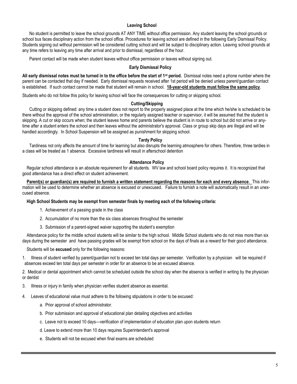#### **Leaving School**

No student is permitted to leave the school grounds AT ANY TIME without office permission. Any student leaving the school grounds or school bus faces disciplinary action from the school office. Procedures for leaving school are defined in the following Early Dismissal Policy. Students signing out without permission will be considered cutting school and will be subject to disciplinary action. Leaving school grounds at any time refers to leaving any time after arrival and prior to dismissal, regardless of the hour.

Parent contact will be made when student leaves without office permission or leaves without signing out.

#### **Early Dismissal Policy**

**All early dismissal notes must be turned in to the office before the start of 1st period.** Dismissal notes need a phone number where the parent can be contacted that day if needed. Early dismissal requests received after 1st period will be denied unless parent/guardian contact is established. If such contact cannot be made that student will remain in school. **18-year-old students must follow the same policy**.

Students who do not follow this policy for leaving school will face the consequences for cutting or skipping school.

#### **Cutting/Skipping**

Cutting or skipping defined: any time a student does not report to the properly assigned place at the time which he/she is scheduled to be there without the approval of the school administration, or the regularly assigned teacher or supervisor, it will be assumed that the student is skipping. A cut or skip occurs when; the student leaves home and parents believe the student is in route to school but did not arrive or anytime after a student enters the school and then leaves without the administrator's approval. Class or group skip days are illegal and will be handled accordingly. In School Suspension will be assigned as punishment for skipping school.

#### **Tardy Policy**

Tardiness not only affects the amount of time for learning but also disrupts the learning atmosphere for others. Therefore, three tardies in a class will be treated as 1 absence. Excessive tardiness will result in afterschool detention

#### **Attendance Policy**

Regular school attendance is an absolute requirement for all students. WV law and school board policy requires it. It is recognized that good attendance has a direct effect on student achievement.

**Parent(s) or guardian(s) are required to furnish a written statement regarding the reasons for each and every absence**. This information will be used to determine whether an absence is excused or unexcused. Failure to furnish a note will automatically result in an unexcused absence.

**High School Students may be exempt from semester finals by meeting each of the following criteria:**

- 1. Achievement of a passing grade in the class
- 2. Accumulation of no more than the six class absences throughout the semester
- 3. Submission of a parent-signed waiver supporting the student's exemption

Attendance policy for the middle school students will be similar to the high school. Middle School students who do not miss more than six days during the semester and have passing grades will be exempt from school on the days of finals as a reward for their good attendance.

Students will be **excused** only for the following reasons:

1. Illness of student verified by parent/guardian not to exceed ten total days per semester. Verification by a physician will be required if absences exceed ten total days per semester in order for an absence to be an excused absence.

2. Medical or dental appointment which cannot be scheduled outside the school day when the absence is verified in writing by the physician or dentist

- 3. Illness or injury in family when physician verifies student absence as essential.
- 4. Leaves of educational value must adhere to the following stipulations in order to be excused:
	- a. Prior approval of school administrator.
	- b. Prior submission and approval of educational plan detailing objectives and activities
	- c. Leave not to exceed 10 days—verification of implementation of education plan upon students return
	- d. Leave to extend more than 10 days requires Superintendent's approval
	- e. Students will not be excused when final exams are scheduled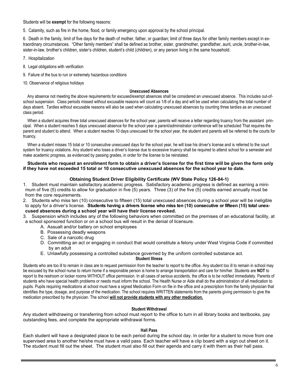Students will be **exempt** for the following reasons:

5. Calamity, such as fire in the home, flood, or family emergency upon approval by the school principal.

6. Death in the family, limit of five days for the death of mother, father, or guardian; limit of three days for other family members except in extraordinary circumstances. "Other family members" shall be defined as brother, sister, grandmother, grandfather, aunt, uncle, brother-in-law, sister-in-law, brother's children, sister's children, student's child (children), or any person living in the same household.

- 7. Hospitalization
- 8. Legal obligations with verification
- 9. Failure of the bus to run or extremely hazardous conditions
- 10. Observance of religious holidays

#### **Unexcused Absences**

Any absence not meeting the above requirements for excused/exempt absences shall be considered an unexcused absence. This includes out-ofschool suspension. Class periods missed without excusable reasons will count as 1/8 of a day and will be used when calculating the total number of days absent. Tardies without excusable reasons will also be used when calculating unexcused absences by counting three tardies as an unexcused class period.

When a student acquires three total unexcused absences for the school year, parents will receive a letter regarding truancy from the assistant principal. When a student reaches 5 days unexcused absence for the school year a parent/administrator conference will be scheduled That requires the parent and student to attend. When a student reaches 10 days unexcused for the school year, the student and parents will be referred to the courts for truancy.

When a student misses 15 total or 10 consecutive unexcused days for the school year, he will lose his driver's license and is referred to the court system for truancy violations. Any student who loses a driver's license due to excessive truancy shall be required to attend school for a semester and make academic progress, as evidenced by passing grades, in order for the license to be reinstated.

#### **Students who request an enrollment form to obtain a driver's license for the first time will be given the form only if they have not exceeded 15 total or 10 consecutive unexcused absences for the school year to date.**

#### **Obtaining Student Driver Eligibility Certificate (WV State Policy 126-84-1)**

1. Student must maintain satisfactory academic progress. Satisfactory academic progress is defined as earning a minimum of five (5) credits to allow for graduation in five (5) years. Three (3) of the five (5) credits earned annually must be from the core requirements.

- 2. Students who miss ten (10) consecutive to fifteen (15) total unexcused absences during a school year will be ineligible to apply for a driver's license. **Students having a drivers license who miss ten (10) consecutive or fifteen (15) total unexcused absences during a school year will have their license revoked.**
- 3. Suspension which includes any of the following behaviors when committed on the premises of an educational facility, at a school sponsored function or on a school bus will result in the denial of licensure.
	- A. Assualt and/or battery on school employees
	- B. Possessing deadly weapons
	- C. Sale of a narcotic drug
	- D. Committing an act or engaging in conduct that would constitute a felony under West Virginia Code if committed by an adult
	- E. Unlawfully possessing a controlled substance governed by the uniform controlled substance act.

#### **Student Illness**

Students who are too ill to remain in class are to request permission from the teacher to report to the office. Any student too ill to remain in school may be excused by the school nurse to return home if a responsible person is home to arrange transportation and care for him/her. Students are **NOT** to report to the restroom or locker rooms WITHOUT office permission. In all cases of serious accidents, the office is to be notified immediately. Parents of students who have special health problems or needs must inform the school. The Health Nurse or Aide shall do the administration of all medication to pupils. Pupils requiring medications at school must have a signed Medication Form on file in the office and a prescription from the family physician that identifies the type, dosage, and purpose of the medication. The school requires WRITTEN statements from the parents giving permission to give the medication prescribed by the physician. The school **will not provide students with any other medication.**

#### **Student Withdrawal**

Any student withdrawing or transferring from school must report to the office to turn in all library books and textbooks, pay outstanding fees, and complete the appropriate withdrawal forms.

#### **Hall Pass**

Each student will have a designated place to be each period during the school day. In order for a student to move from one supervised area to another he/she must have a valid pass. Each teacher will have a clip board with a sign out sheet on it. The student must fill out the sheet. The student must also fill out their agenda and carry it with them as their hall pass.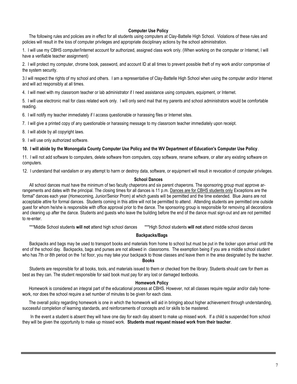#### **Computer Use Policy**

The following rules and policies are in effect for all students using computers at Clay-Battelle High School. Violations of these rules and policies will result in the loss of computer privileges and appropriate disciplinary actions by the school administration.

1. I will use my CBHS computer/Internet account for authorized, assigned class work only. (When working on the computer or Internet, I will have a verifiable teacher assignment)

2. I will protect my computer, chrome book, password, and account ID at all times to prevent possible theft of my work and/or compromise of the system security.

3.I will respect the rights of my school and others. I am a representative of Clay-Battelle High School when using the computer and/or Internet and will act responsibly at all times.

4. I will meet with my classroom teacher or lab administrator if I need assistance using computers, equipment, or Internet.

5. I will use electronic mail for class related work only. I will only send mail that my parents and school administrators would be comfortable reading.

6. I will notify my teacher immediately if I access questionable or harassing files or Internet sites.

7. I will give a printed copy of any questionable or harassing message to my classroom teacher immediately upon receipt.

8. I will abide by all copyright laws.

9. I will use only authorized software.

#### **10. I will abide by the Monongalia County Computer Use Policy and the WV Department of Education's Computer Use Policy**.

11. I will not add software to computers, delete software from computers, copy software, rename software, or alter any existing software on computers.

12. I understand that vandalism or any attempt to harm or destroy data, software, or equipment will result in revocation of computer privileges.

#### **School Dances**

All school dances must have the minimum of two faculty chaperons and six parent chaperons. The sponsoring group must approve arrangements and dates with the principal. The closing times for all dances is 11 p.m. Dances are for CBHS students only Exceptions are the formal" dances each year (Homecoming, Junior/Senior Prom) at which guests will be permitted and the time extended. Blue Jeans are not acceptable attire for formal dances. Students coming in this attire will not be permitted to attend. Attending students are permitted one outside guest for whom he/she is responsible with office approval prior to the dance. The sponsoring group is responsible for removing all decorations and cleaning up after the dance. Students and guests who leave the building before the end of the dance must sign-out and are not permitted to re-enter.

\*\*\*Middle School students **will not** attend high school dances \*\*\*High School students **will not** attend middle school dances

#### **Backpacks/Bags**

Backpacks and bags may be used to transport books and materials from home to school but must be put in the locker upon arrival until the end of the school day. Backpacks, bags and purses are not allowed in classrooms. The exemption being if you are a middle school student who has 7th or 8th period on the 1st floor, you may take your backpack to those classes and leave them in the area designated by the teacher.

#### **Books**

Students are responsible for all books, tools, and materials issued to them or checked from the library. Students should care for them as best as they can. The student responsible for said book must pay for any lost or damaged textbooks.

#### **Homework Policy**

Homework is considered an integral part of the educational process at CBHS. However, not all classes require regular and/or daily homework, nor does the school require a set number of minutes to be given for each class.

The overall policy regarding homework is one in which the homework will aid in bringing about higher achievement through understanding, successful completion of learning standards, and reinforcements of concepts and /or skills to be mastered.

In the event a student is absent they will have one day for each day absent to make up missed work. If a child is suspended from school they will be given the opportunity to make up missed work. **Students must request missed work from their teacher**.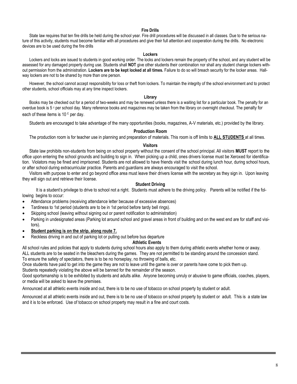#### **Fire Drills**

State law requires that ten fire drills be held during the school year. Fire drill procedures will be discussed in all classes. Due to the serious nature of this activity, students must become familiar with all procedures and give their full attention and cooperation during the drills. No electronic devices are to be used during the fire drills

#### **Lockers**

Lockers and locks are issued to students in good working order. The locks and lockers remain the property of the school, and any student will be assessed for any damaged property during use. Students shall **NOT** give other students their combination nor shall any student change lockers without permission from the administration. **Lockers are to be kept locked at all times.** Failure to do so will breach security for the locker areas. Hallway lockers are not to be shared by more than one person.

However, the school cannot accept responsibility for loss or theft from lockers. To maintain the integrity of the school environment and to protect other students, school officials may at any time inspect lockers.

#### **Library**

Books may be checked out for a period of two-weeks and may be renewed unless there is a waiting list for a particular book. The penalty for an overdue book is 5 c per school day. Many reference books and magazines may be taken from the library on overnight checkout. The penalty for each of these items is  $10<sup>c</sup>$  per day.

Students are encouraged to take advantage of the many opportunities (books, magazines, A-V materials, etc.) provided by the library.

#### **Production Room**

The production room is for teacher use in planning and preparation of materials. This room is off limits to **ALL STUDENTS** at all times.

#### **Visitors**

State law prohibits non-students from being on school property without the consent of the school principal. All visitors **MUST** report to the office upon entering the school grounds and building to sign in. When picking up a child, ones drivers license must be Xeroxed for identification. Violators may be fined and imprisoned. Students are not allowed to have friends visit the school during lunch hour, during school hours, or after school during extracurricular practice. Parents and guardians are always encouraged to visit the school.

Visitors with purpose to enter and go beyond office area must leave their drivers license with the secretary as they sign in. Upon leaving they will sign out and retrieve their license.

#### **Student Driving**

It is a student's privilege to drive to school not a right. Students must adhere to the driving policy. Parents will be notified if the following begins to occur:

- Attendance problems (receiving attendance letter because of excessive absences)
- Tardiness to 1st period (students are to be in 1st period before tardy bell rings).
- Skipping school (leaving without signing out or parent notification to administration)
- Parking in undesignated areas (Parking lot around school and gravel areas in front of building and on the west end are for staff and visitors).
- **Student parking is on the strip, along route 7.**
- Reckless driving in and out of parking lot or pulling out before bus departure

#### **Athletic Events**

All school rules and policies that apply to students during school hours also apply to them during athletic events whether home or away. ALL students are to be seated in the bleachers during the games. They are not permitted to be standing around the concession stand.

To ensure the safety of spectators, there is to be no horseplay, no throwing of balls, etc.

Once students have paid to get into the game they are not to leave until the game is over or parents have come to pick them up. Students repeatedly violating the above will be banned for the remainder of the season.

Good sportsmanship is to be exhibited by students and adults alike. Anyone becoming unruly or abusive to game officials, coaches, players, or media will be asked to leave the premises.

Announced at all athletic events inside and out, there is to be no use of tobacco on school property by student or adult.

Announced at all athletic events inside and out, there is to be no use of tobacco on school property by student or adult. This is a state law and it is to be enforced. Use of tobacco on school property may result in a fine and court costs.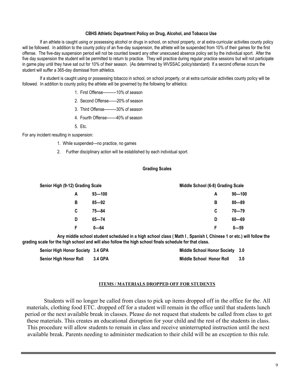#### **CBHS Athletic Department Policy on Drug, Alcohol, and Tobacco Use**

If an athlete is caught using or possessing alcohol or drugs in school, on school property, or at extra-curricular activities county policy will be followed. In addition to the county policy of an five-day suspension, the athlete will be suspended from 10% of their games for the first offense. The five-day suspension period will not be counted toward any other unexcused absence policy set by the individual sport. After the five day suspension the student will be permitted to return to practice. They will practice during regular practice sessions but will not participate in game play until they have sat out for 10% of their season. (As determined by WVSSAC policy/standard) If a second offense occurs the student will suffer a 365-day dismissal from athletics.

If a student is caught using or possessing tobacco in school, on school property, or at extra curricular activities county policy will be followed. In addition to county policy the athlete will be governed by the following for athletics:

- 1. First Offense----------10% of season
- 2. Second Offense------20% of season
- 3. Third Offense---------30% of season
- 4. Fourth Offense-------40% of season
- 5. Etc.

For any incident resulting in suspension:

- 1. While suspended---no practice, no games
- 2. Further disciplinary action will be established by each individual sport.

#### **Grading Scales**

| Senior High (9-12) Grading Scale |   |            | Middle School (6-8) Grading Scale |            |
|----------------------------------|---|------------|-----------------------------------|------------|
|                                  | A | $93 - 100$ | A                                 | $90 - 100$ |
|                                  | в | $85 - 92$  | В                                 | $80 - 89$  |
|                                  | C | $75 - 84$  | C                                 | $70 - 79$  |
|                                  | D | $65 - 74$  | D                                 | $60 - 69$  |
|                                  | F | $0 - 64$   | F                                 | $0 - 59$   |

**Any middle school student scheduled in a high school class ( Math I , Spanish I, Chinese 1 or etc.) will follow the grading scale for the high school and will also follow the high school finals schedule for that class.**

| Senior High Honor Society 3.4 GPA |         | Middle School Honor Society 3.0 |       |
|-----------------------------------|---------|---------------------------------|-------|
| Senior High Honor Roll            | 3.4 GPA | Middle School Honor Roll        | - 3.0 |

#### **ITEMS / MATERIALS DROPPED OFF FOR STUDENTS**

Students will no longer be called from class to pick up items dropped off in the office for the. All materials, clothing food ETC. dropped off for a student will remain in the office until that students lunch period or the next available break in classes. Please do not request that students be called from class to get these materials. This creates an educational disruption for your child and the rest of the students in class. This procedure will allow students to remain in class and receive uninterrupted instruction until the next available break. Parents needing to administer medication to their child will be an exception to this rule.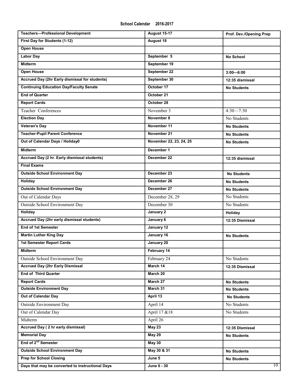| <b>Teachers-Professional Development</b>         | <b>August 15-17</b>     | Prof. Dev./Opening Prep |
|--------------------------------------------------|-------------------------|-------------------------|
| First Day for Students (1-12)                    | August 18               |                         |
| <b>Open House</b>                                |                         |                         |
| <b>Labor Day</b>                                 | September 5             | <b>No School</b>        |
| <b>Midterm</b>                                   | September 19            |                         |
| <b>Open House</b>                                | September 22            | $3:00 - 6:00$           |
| Accrued Day (2hr Early dismissal for students)   | September 30            | 12:35 dismissal         |
| <b>Continuing Education Day/Faculty Senate</b>   | October 17              | <b>No Students</b>      |
| <b>End of Quarter</b>                            | October 21              |                         |
| <b>Report Cards</b>                              | October 28              |                         |
| Teacher Conferences                              | November 3              | $4:30 - 7:30$           |
| <b>Election Day</b>                              | November 8              | No Students             |
| <b>Veteran's Day</b>                             | November 11             | <b>No Students</b>      |
| <b>Teacher-Pupil Parent Conference</b>           | November 21             | <b>No Students</b>      |
| Out of Calendar Days / Holiday0                  | November 22, 23, 24, 25 | <b>No Students</b>      |
| <b>Midterm</b>                                   | December 1              |                         |
| Accrued Day (2 hr. Early dismissal students)     | December 22             | 12:35 dismissal         |
| <b>Final Exams</b>                               |                         |                         |
| <b>Outside School Environment Day</b>            | December 23             | <b>No Students</b>      |
| Holiday                                          | December 26             | <b>No Students</b>      |
| <b>Outside School Environment Day</b>            | December 27             | <b>No Students</b>      |
| Out of Calendar Days                             | December 28, 29         | No Students             |
| Outside School Environment Day                   | December 30             | No Students             |
| <b>Holiday</b>                                   | January 2               | Holiday                 |
| Accrued Day (2hr early dismissal students)       | January 6               | 12:35 Dismissal         |
| <b>End of 1st Semester</b>                       | January 12              |                         |
| <b>Martin Luther King Day</b>                    | January 16              | <b>No Students</b>      |
| <b>1st Semester Report Cards</b>                 | January 20              |                         |
| Midterm                                          | February 14             |                         |
| Outside School Environment Day                   | February 24             | No Students             |
| <b>Accrued Day (2hr Early Dismissal</b>          | March 14                | 12:35 Dismissal         |
| <b>End of Third Quarter</b>                      | March 20                |                         |
| <b>Report Cards</b>                              | March 27                | <b>No Students</b>      |
| <b>Outside Environment Day</b>                   | March 31                | <b>No Students</b>      |
| Out of Calendar Day                              | April 13                | <b>No Students</b>      |
| Outside Environment Day                          | April 14                | No Students             |
| Out of Calendar Day                              | April 17 & 18           | No Students             |
| Midterm                                          | April 26                |                         |
| Accrued Day (2 hr early dismissal)               | <b>May 23</b>           | 12:35 Dismissal         |
| <b>Memorial Day</b>                              | <b>May 29</b>           | <b>No Students</b>      |
| End of 2 <sup>nd</sup> Semester                  | <b>May 30</b>           |                         |
| <b>Outside School Environment Day</b>            | May 30 & 31             | <b>No Students</b>      |
| <b>Prep for School Closing</b>                   | June 5                  | <b>No Students</b>      |
| Days that may be converted to instructional Days | June 6 - 30             | $10-1$                  |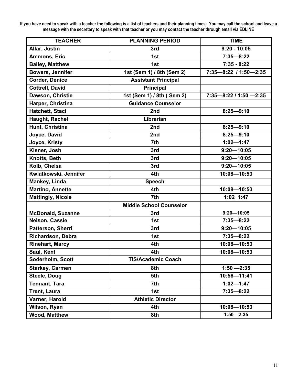**If you have need to speak with a teacher the following is a list of teachers and their planning times. You may call the school and leave a message with the secretary to speak with that teacher or you may contact the teacher through email via EDLINE**

| <b>TEACHER</b>           | <b>PLANNING PERIOD</b>         | <b>TIME</b>                 |
|--------------------------|--------------------------------|-----------------------------|
| Allar, Justin            | 3rd                            | $9:20 - 10:05$              |
| Ammons, Eric             | 1st                            | $7:35 - 8:22$               |
| <b>Bailey, Matthew</b>   | 1st                            | $7:35 - 8:22$               |
| <b>Bowers, Jennifer</b>  | 1st (Sem 1) / 8th (Sem 2)      | 7:35-8:22 / 1:50-2:35       |
| <b>Corder, Denice</b>    | <b>Assistant Principal</b>     |                             |
| <b>Cottrell, David</b>   | <b>Principal</b>               |                             |
| Dawson, Christie         | 1st (Sem 1) / 8th (Sem 2)      | $7:35 - 8:22 / 1:50 - 2:35$ |
| Harper, Christina        | <b>Guidance Counselor</b>      |                             |
| Hatchett, Staci          | 2nd                            | $8:25 - 9:10$               |
| Haught, Rachel           | Librarian                      |                             |
| Hunt, Christina          | 2nd                            | $8:25 - 9:10$               |
| Joyce, David             | 2nd                            | $8:25 - 9:10$               |
| Joyce, Kristy            | 7th                            | $1:02 - 1:47$               |
| Kisner, Josh             | 3rd                            | $9:20 - 10:05$              |
| Knotts, Beth             | 3rd                            | $9:20 - 10:05$              |
| Kolb, Chelsa             | 3rd                            | $9:20 - 10:05$              |
| Kwiatkowski, Jennifer    | 4th                            | 10:08-10:53                 |
| Mankey, Linda            | <b>Speech</b>                  |                             |
| <b>Martino, Annette</b>  | 4th                            | 10:08-10:53                 |
| <b>Mattingly, Nicole</b> | 7th                            | 1:02 1:47                   |
|                          | <b>Middle School Counselor</b> |                             |
| <b>McDonald, Suzanne</b> | 3rd                            | $9:20 - 10:05$              |
| Nelson, Cassie           | 1st                            | $7:35 - 8:22$               |
| Patterson, Sherri        | 3rd                            | $9:20 - 10:05$              |
| Richardson, Debra        | 1st                            | $7:35 - 8:22$               |
| <b>Rinehart, Marcy</b>   | 4th                            | 10:08-10:53                 |
| Saul, Kent               | 4th                            | 10:08-10:53                 |
| Soderholm, Scott         | <b>TIS/Academic Coach</b>      |                             |
| <b>Starkey, Carmen</b>   | 8th                            | $1:50 - 2:35$               |
| <b>Steele, Doug</b>      | 5th                            | 10:56-11:41                 |
| <b>Tennant, Tara</b>     | 7th                            | $1:02 - 1:47$               |
| <b>Trent, Laura</b>      | 1st                            | $7:35 - 8:22$               |
| Varner, Harold           | <b>Athletic Director</b>       |                             |
| Wilson, Ryan             | 4th                            | 10:08-10:53                 |
| <b>Wood, Matthew</b>     | 8th                            | $1:50 - 2:35$               |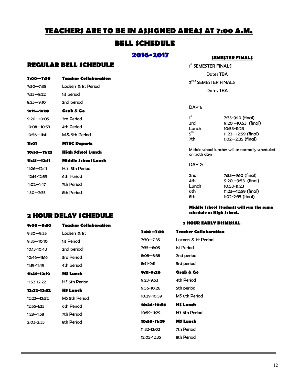# **TEACHERS ARE TO BE IN ASSIGNED AREAS AT 7:00 A.M.**

## **BELL SCHEDULE**

### **2016-2017**

# **REGULAR BELL SCHEDULE**

| 7:00—7:30        | <b>Teacher Collaboration</b> |
|------------------|------------------------------|
| 7:30-7:35        | Lockers & 1st Period         |
| $7:35 - 8:22$    | 1st period                   |
| $8:25 - 9:10$    | 2nd period                   |
| 9:11—9:20        | Grab & Go                    |
| $9:20 - 10:05$   | 3rd Period                   |
| $10:08 - 10:53$  | 4th Period                   |
| 10:56-11:41      | M.S. 5th Period              |
| 11:01            | <b>MTEC Departs</b>          |
| 10:53—11:23      | High School Lunch            |
| 11:41—12:11      | Middle School Lunch          |
| $11:26 - 12::11$ | H.S. 5th Period              |
| 12:14-12:59      | 6th Period                   |
|                  |                              |
| $1:02 - 1:47$    | 7th Period                   |

## **2 HOUR DELAY SCHEDULE 9:00—9:30 Teacher Collaboration**

1<sup>st</sup> SEMESTER FINALS Dates TBA 2<sup>ND</sup> SEMESTER FINALS Dates TBA

#### DAY 1:

| 7:35-9:10 (final)       |  |
|-------------------------|--|
| $9:20 - 10:53$ (final)  |  |
| 10:53-11:23             |  |
| $11:23 - 12:59$ (final) |  |
| $1:02 - 2:35$ (final)   |  |
|                         |  |

Middle school lunches will as normally scheduled on both days

**SEMESTER FINALS**

DAY 2:

| 2nd   | 7:35-9:10 (final)       |  |
|-------|-------------------------|--|
| 4th   | $9:20 - 9:53$ (final)   |  |
| Lunch | 10:53-11:23             |  |
| 6th   | $11:23 - 12:59$ (final) |  |
| 8th   | $1:02 - 2:35$ (final)   |  |
|       |                         |  |

**Middle School Students will run the same schedule as High School.**

#### **2 HOUR EARLY DISMISSAL**

| 9:30—9:35   | Lockers & 1st        | $7:00 - 7:30$ | <b>Teacher Collaboration</b> |
|-------------|----------------------|---------------|------------------------------|
| 9:35—10:10  | 1st Period           | $7:30 - 7:35$ | Lockers & 1st Period         |
| 10:13-10:43 | 2nd period           | $7:35 - 8:05$ | 1st Period                   |
| 10:46—11:16 | 3rd Period           | $8:08 - 8:38$ | 2nd period                   |
| 11:19-11:49 | 4th period           | $8:41 - 9:11$ | 3rd period                   |
| 11:49-12:19 | M\$ Lunch            | 9:11-9:20     | Grab & Go                    |
| 11:52-12:22 | <b>HS 5th Period</b> | $9:23-9:53$   | 4th Period                   |
| 12:22-12:52 | <b>H\$ Lunch</b>     | 9:56-10:26    | 5th period                   |
| 12:22—12:52 | <b>MS 5th Period</b> | 10:29-10:59   | MS 6th Period                |
| 12:55-1:25  | 6th Period           | 10:26-10:56   | <b>H\$ Lunch</b>             |
| 1:28—1:58   | 7th Period           | 10:59-11:29   | <b>HS 6th Period</b>         |
| 2:03-2:35   | 8th Period           | 10:59-11:29   | <b>MS Lunch</b>              |
|             |                      | 11:32-12:02   | 7th Period                   |
|             |                      | 12:05-12:35   | 8th Period                   |
|             |                      |               |                              |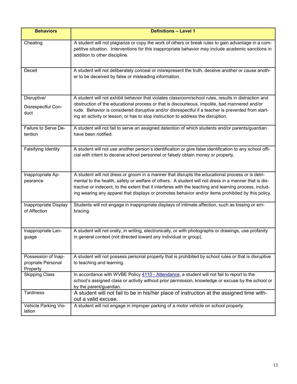| <b>Behaviors</b>                                      | <b>Definitions - Level 1</b>                                                                                                                                                                                                                                                                                                                                                                                             |
|-------------------------------------------------------|--------------------------------------------------------------------------------------------------------------------------------------------------------------------------------------------------------------------------------------------------------------------------------------------------------------------------------------------------------------------------------------------------------------------------|
| Cheating                                              | A student will not plagiarize or copy the work of others or break rules to gain advantage in a com-<br>petitive situation. Interventions for this inappropriate behavior may include academic sanctions in<br>addition to other discipline.                                                                                                                                                                              |
| Deceit                                                | A student will not deliberately conceal or misrepresent the truth, deceive another or cause anoth-<br>er to be deceived by false or misleading information.                                                                                                                                                                                                                                                              |
| Disruptive/                                           | A student will not exhibit behavior that violates classroom/school rules, results in distraction and                                                                                                                                                                                                                                                                                                                     |
| Disrespectful Con-<br>duct                            | obstruction of the educational process or that is discourteous, impolite, bad mannered and/or<br>rude. Behavior is considered disruptive and/or disrespectful if a teacher is prevented from start-<br>ing an activity or lesson, or has to stop instruction to address the disruption.                                                                                                                                  |
| Failure to Serve De-<br>tention                       | A student will not fail to serve an assigned detention of which students and/or parents/guardian<br>have been notified.                                                                                                                                                                                                                                                                                                  |
| Falsifying Identity                                   | A student will not use another person's identification or give false identification to any school offi-<br>cial with intent to deceive school personnel or falsely obtain money or property.                                                                                                                                                                                                                             |
| Inappropriate Ap-<br>pearance                         | A student will not dress or groom in a manner that disrupts the educational process or is detri-<br>mental to the health, safety or welfare of others. A student will not dress in a manner that is dis-<br>tractive or indecent, to the extent that it interferes with the teaching and learning process, includ-<br>ing wearing any apparel that displays or promotes behavior and/or items prohibited by this policy. |
| Inappropriate Display<br>of Affection                 | Students will not engage in inappropriate displays of intimate affection, such as kissing or em-<br>bracing.                                                                                                                                                                                                                                                                                                             |
| Inappropriate Lan-<br>guage                           | A student will not orally, in writing, electronically, or with photographs or drawings, use profanity<br>in general context (not directed toward any individual or group).                                                                                                                                                                                                                                               |
| Possession of Inap-<br>propriate Personal<br>Property | A student will not possess personal property that is prohibited by school rules or that is disruptive<br>to teaching and learning.                                                                                                                                                                                                                                                                                       |
| <b>Skipping Class</b>                                 | In accordance with WVBE Policy 4110 - Attendance, a student will not fail to report to the<br>school's assigned class or activity without prior permission, knowledge or excuse by the school or<br>by the parent/guardian.                                                                                                                                                                                              |
| <b>Tardiness</b>                                      | A student will not fail to be in his/her place of instruction at the assigned time with-<br>out a valid excuse.                                                                                                                                                                                                                                                                                                          |
| Vehicle Parking Vio-<br>lation                        | A student will not engage in improper parking of a motor vehicle on school property.                                                                                                                                                                                                                                                                                                                                     |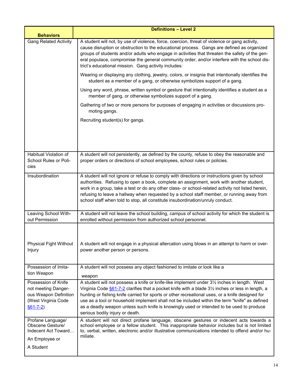| <b>Behaviors</b>                                                                                             | <b>Definitions - Level 2</b>                                                                                                                                                                                                                                                                                                                                                                                                                                                                                                                      |
|--------------------------------------------------------------------------------------------------------------|---------------------------------------------------------------------------------------------------------------------------------------------------------------------------------------------------------------------------------------------------------------------------------------------------------------------------------------------------------------------------------------------------------------------------------------------------------------------------------------------------------------------------------------------------|
| <b>Gang Related Activity</b>                                                                                 | A student will not, by use of violence, force, coercion, threat of violence or gang activity,<br>cause disruption or obstruction to the educational process. Gangs are defined as organized<br>groups of students and/or adults who engage in activities that threaten the safety of the gen-<br>eral populace, compromise the general community order, and/or interfere with the school dis-<br>trict's educational mission. Gang activity includes:                                                                                             |
|                                                                                                              | Wearing or displaying any clothing, jewelry, colors, or insignia that intentionally identifies the<br>student as a member of a gang, or otherwise symbolizes support of a gang.                                                                                                                                                                                                                                                                                                                                                                   |
|                                                                                                              | Using any word, phrase, written symbol or gesture that intentionally identifies a student as a<br>member of gang, or otherwise symbolizes support of a gang.                                                                                                                                                                                                                                                                                                                                                                                      |
|                                                                                                              | Gathering of two or more persons for purposes of engaging in activities or discussions pro-<br>moting gangs.                                                                                                                                                                                                                                                                                                                                                                                                                                      |
|                                                                                                              | Recruiting student(s) for gangs.                                                                                                                                                                                                                                                                                                                                                                                                                                                                                                                  |
|                                                                                                              |                                                                                                                                                                                                                                                                                                                                                                                                                                                                                                                                                   |
| Habitual Violation of<br>School Rules or Poli-<br>cies                                                       | A student will not persistently, as defined by the county, refuse to obey the reasonable and<br>proper orders or directions of school employees, school rules or policies.                                                                                                                                                                                                                                                                                                                                                                        |
| Insubordination                                                                                              | A student will not ignore or refuse to comply with directions or instructions given by school<br>authorities. Refusing to open a book, complete an assignment, work with another student,<br>work in a group, take a test or do any other class- or school-related activity not listed herein,<br>refusing to leave a hallway when requested by a school staff member, or running away from<br>school staff when told to stop, all constitute insubordination/unruly conduct.                                                                     |
| Leaving School With-<br>out Permission                                                                       | A student will not leave the school building, campus of school activity for which the student is<br>enrolled without permission from authorized school personnel.                                                                                                                                                                                                                                                                                                                                                                                 |
| <b>Physical Fight Without</b><br>Injury                                                                      | A student will not engage in a physical altercation using blows in an attempt to harm or over-<br>power another person or persons.                                                                                                                                                                                                                                                                                                                                                                                                                |
| Possession of Imita-<br>tion Weapon                                                                          | A student will not possess any object fashioned to imitate or look like a<br>weapon                                                                                                                                                                                                                                                                                                                                                                                                                                                               |
| Possession of Knife<br>not meeting Danger-<br>ous Weapon Definition<br>(West Virginia Code<br>$§61 - 7 - 2)$ | A student will not possess a knife or knife-like implement under 31/2 inches in length. West<br>Virginia Code $§61$ -7-2 clarifies that a pocket knife with a blade $3\frac{1}{2}$ inches or less in length, a<br>hunting or fishing knife carried for sports or other recreational uses, or a knife designed for<br>use as a tool or household implement shall not be included within the term "knife" as defined<br>as a deadly weapon unless such knife is knowingly used or intended to be used to produce<br>serious bodily injury or death. |
| Profane Language/<br>Obscene Gesture/<br>Indecent Act Toward<br>An Employee or<br>A Student                  | A student will not direct profane language, obscene gestures or indecent acts towards a<br>school employee or a fellow student. This inappropriate behavior includes but is not limited<br>to, verbal, written, electronic and/or illustrative communications intended to offend and/or hu-<br>miliate.                                                                                                                                                                                                                                           |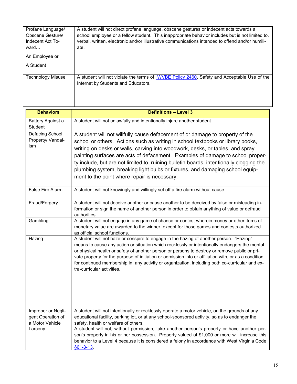| Profane Language/<br>Obscene Gesture/<br>Indecent Act To-<br>ward | A student will not direct profane language, obscene gestures or indecent acts towards a<br>school employee or a fellow student. This inappropriate behavior includes but is not limited to,<br>verbal, written, electronic and/or illustrative communications intended to offend and/or humili-<br>ate. |
|-------------------------------------------------------------------|---------------------------------------------------------------------------------------------------------------------------------------------------------------------------------------------------------------------------------------------------------------------------------------------------------|
| An Employee or                                                    |                                                                                                                                                                                                                                                                                                         |
| A Student                                                         |                                                                                                                                                                                                                                                                                                         |
| <b>Technology Misuse</b>                                          | A student will not violate the terms of WVBE Policy 2460, Safety and Acceptable Use of the<br>Internet by Students and Educators.                                                                                                                                                                       |

| <b>Behaviors</b>                                   | <b>Definitions - Level 3</b>                                                                                                                                                                                                                                                                                                                                                                                                                                                                                                                                    |
|----------------------------------------------------|-----------------------------------------------------------------------------------------------------------------------------------------------------------------------------------------------------------------------------------------------------------------------------------------------------------------------------------------------------------------------------------------------------------------------------------------------------------------------------------------------------------------------------------------------------------------|
| Battery Against a<br>Student                       | A student will not unlawfully and intentionally injure another student.                                                                                                                                                                                                                                                                                                                                                                                                                                                                                         |
| <b>Defacing School</b><br>Property/ Vandal-<br>ism | A student will not willfully cause defacement of or damage to property of the<br>school or others. Actions such as writing in school textbooks or library books,<br>writing on desks or walls, carving into woodwork, desks, or tables, and spray<br>painting surfaces are acts of defacement. Examples of damage to school proper-<br>ty include, but are not limited to, ruining bulletin boards, intentionally clogging the<br>plumbing system, breaking light bulbs or fixtures, and damaging school equip-<br>ment to the point where repair is necessary. |
| False Fire Alarm                                   | A student will not knowingly and willingly set off a fire alarm without cause.                                                                                                                                                                                                                                                                                                                                                                                                                                                                                  |
| Fraud/Forgery                                      | A student will not deceive another or cause another to be deceived by false or misleading in-<br>formation or sign the name of another person in order to obtain anything of value or defraud<br>authorities.                                                                                                                                                                                                                                                                                                                                                   |
| Gambling                                           | A student will not engage in any game of chance or contest wherein money or other items of<br>monetary value are awarded to the winner, except for those games and contests authorized<br>as official school functions.                                                                                                                                                                                                                                                                                                                                         |
| Hazing                                             | A student will not haze or conspire to engage in the hazing of another person. "Hazing"<br>means to cause any action or situation which recklessly or intentionally endangers the mental<br>or physical health or safety of another person or persons to destroy or remove public or pri-<br>vate property for the purpose of initiation or admission into or affiliation with, or as a condition<br>for continued membership in, any activity or organization, including both co-curricular and ex-<br>tra-curricular activities.                              |
| Improper or Negli-<br>gent Operation of            | A student will not intentionally or recklessly operate a motor vehicle, on the grounds of any<br>educational facility, parking lot, or at any school-sponsored activity, so as to endanger the                                                                                                                                                                                                                                                                                                                                                                  |
| a Motor Vehicle<br>Larceny                         | safety, health or welfare of others.<br>A student will not, without permission, take another person's property or have another per-<br>son's property in his or her possession. Property valued at \$1,000 or more will increase this<br>behavior to a Level 4 because it is considered a felony in accordance with West Virginia Code<br>§61-3-13.                                                                                                                                                                                                             |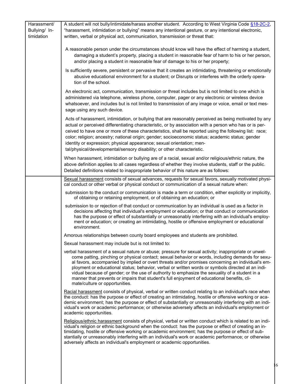| Harassment/<br>Bullying/ In-<br>timidation | A student will not bully/intimidate/harass another student. According to West Virginia Code §18-2C-2,<br>"harassment, intimidation or bullying" means any intentional gesture, or any intentional electronic,<br>written, verbal or physical act, communication, transmission or threat that:                                                                                                                                                                                                                                                                                                                                                          |   |
|--------------------------------------------|--------------------------------------------------------------------------------------------------------------------------------------------------------------------------------------------------------------------------------------------------------------------------------------------------------------------------------------------------------------------------------------------------------------------------------------------------------------------------------------------------------------------------------------------------------------------------------------------------------------------------------------------------------|---|
|                                            | A reasonable person under the circumstances should know will have the effect of harming a student,<br>damaging a student's property, placing a student in reasonable fear of harm to his or her person,<br>and/or placing a student in reasonable fear of damage to his or her property;                                                                                                                                                                                                                                                                                                                                                               |   |
|                                            | Is sufficiently severe, persistent or pervasive that it creates an intimidating, threatening or emotionally<br>abusive educational environment for a student; or Disrupts or interferes with the orderly opera-<br>tion of the school.                                                                                                                                                                                                                                                                                                                                                                                                                 |   |
|                                            | An electronic act, communication, transmission or threat includes but is not limited to one which is<br>administered via telephone, wireless phone, computer, pager or any electronic or wireless device<br>whatsoever, and includes but is not limited to transmission of any image or voice, email or text mes-<br>sage using any such device.                                                                                                                                                                                                                                                                                                       |   |
|                                            | Acts of harassment, intimidation, or bullying that are reasonably perceived as being motivated by any<br>actual or perceived differentiating characteristic, or by association with a person who has or is per-<br>ceived to have one or more of these characteristics, shall be reported using the following list: race;<br>color; religion; ancestry; national origin; gender; socioeconomic status; academic status; gender<br>identity or expression; physical appearance; sexual orientation; men-<br>tal/physical/developmental/sensory disability; or other characteristic.                                                                     |   |
|                                            | When harassment, intimidation or bullying are of a racial, sexual and/or religious/ethnic nature, the<br>above definition applies to all cases regardless of whether they involve students, staff or the public.<br>Detailed definitions related to inappropriate behavior of this nature are as follows:                                                                                                                                                                                                                                                                                                                                              |   |
|                                            | Sexual harassment consists of sexual advances, requests for sexual favors, sexually motivated physi-<br>cal conduct or other verbal or physical conduct or communication of a sexual nature when:                                                                                                                                                                                                                                                                                                                                                                                                                                                      |   |
|                                            | submission to the conduct or communication is made a term or condition, either explicitly or implicitly,<br>of obtaining or retaining employment, or of obtaining an education; or                                                                                                                                                                                                                                                                                                                                                                                                                                                                     |   |
|                                            | submission to or rejection of that conduct or communication by an individual is used as a factor in<br>decisions affecting that individual's employment or education; or that conduct or communication<br>has the purpose or effect of substantially or unreasonably interfering with an individual's employ-<br>ment or education; or creating an intimidating, hostile or offensive employment or educational<br>environment.                                                                                                                                                                                                                        |   |
|                                            | Amorous relationships between county board employees and students are prohibited.                                                                                                                                                                                                                                                                                                                                                                                                                                                                                                                                                                      |   |
|                                            | Sexual harassment may include but is not limited to:                                                                                                                                                                                                                                                                                                                                                                                                                                                                                                                                                                                                   |   |
|                                            | verbal harassment of a sexual nature or abuse; pressure for sexual activity; inappropriate or unwel-<br>come patting, pinching or physical contact; sexual behavior or words, including demands for sexu-<br>al favors, accompanied by implied or overt threats and/or promises concerning an individual's em-<br>ployment or educational status; behavior, verbal or written words or symbols directed at an indi-<br>vidual because of gender; or the use of authority to emphasize the sexuality of a student in a<br>manner that prevents or impairs that student's full enjoyment of educational benefits, cli-<br>mate/culture or opportunities. |   |
|                                            | Racial harassment consists of physical, verbal or written conduct relating to an individual's race when<br>the conduct: has the purpose or effect of creating an intimidating, hostile or offensive working or aca-<br>demic environment; has the purpose or effect of substantially or unreasonably interfering with an indi-<br>vidual's work or academic performance; or otherwise adversely affects an individual's employment or<br>academic opportunities.                                                                                                                                                                                       |   |
|                                            | Religious/ethnic harassment consists of physical, verbal or written conduct which is related to an indi-<br>vidual's religion or ethnic background when the conduct: has the purpose or effect of creating an in-<br>timidating, hostile or offensive working or academic environment; has the purpose or effect of sub-<br>stantially or unreasonably interfering with an individual's work or academic performance; or otherwise<br>adversely affects an individual's employment or academic opportunities.                                                                                                                                          |   |
|                                            |                                                                                                                                                                                                                                                                                                                                                                                                                                                                                                                                                                                                                                                        | 6 |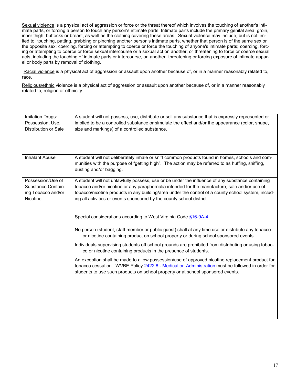Sexual violence is a physical act of aggression or force or the threat thereof which involves the touching of another's intimate parts, or forcing a person to touch any person's intimate parts. Intimate parts include the primary genital area, groin, inner thigh, buttocks or breast, as well as the clothing covering these areas. Sexual violence may include, but is not limited to: touching, patting, grabbing or pinching another person's intimate parts, whether that person is of the same sex or the opposite sex; coercing, forcing or attempting to coerce or force the touching of anyone's intimate parts; coercing, forcing or attempting to coerce or force sexual intercourse or a sexual act on another; or threatening to force or coerce sexual acts, including the touching of intimate parts or intercourse, on another. threatening or forcing exposure of intimate apparel or body parts by removal of clothing.

Racial violence is a physical act of aggression or assault upon another because of, or in a manner reasonably related to, race.

Religious/ethnic violence is a physical act of aggression or assault upon another because of, or in a manner reasonably related to, religion or ethnicity.

| Imitation Drugs:<br>Possession, Use,<br>Distribution or Sale              | A student will not possess, use, distribute or sell any substance that is expressly represented or<br>implied to be a controlled substance or simulate the effect and/or the appearance (color, shape,<br>size and markings) of a controlled substance.                                                                                                                           |
|---------------------------------------------------------------------------|-----------------------------------------------------------------------------------------------------------------------------------------------------------------------------------------------------------------------------------------------------------------------------------------------------------------------------------------------------------------------------------|
| <b>Inhalant Abuse</b>                                                     | A student will not deliberately inhale or sniff common products found in homes, schools and com-<br>munities with the purpose of "getting high". The action may be referred to as huffing, sniffing,<br>dusting and/or bagging.                                                                                                                                                   |
| Possession/Use of<br>Substance Contain-<br>ing Tobacco and/or<br>Nicotine | A student will not unlawfully possess, use or be under the influence of any substance containing<br>tobacco and/or nicotine or any paraphernalia intended for the manufacture, sale and/or use of<br>tobacco/nicotine products in any building/area under the control of a county school system, includ-<br>ing all activities or events sponsored by the county school district. |
|                                                                           | Special considerations according to West Virginia Code §16-9A-4.                                                                                                                                                                                                                                                                                                                  |
|                                                                           | No person (student, staff member or public guest) shall at any time use or distribute any tobacco<br>or nicotine containing product on school property or during school sponsored events.                                                                                                                                                                                         |
|                                                                           | Individuals supervising students off school grounds are prohibited from distributing or using tobac-<br>co or nicotine containing products in the presence of students.                                                                                                                                                                                                           |
|                                                                           | An exception shall be made to allow possession/use of approved nicotine replacement product for<br>tobacco cessation. WVBE Policy 2422.8 - Medication Administration must be followed in order for<br>students to use such products on school property or at school sponsored events.                                                                                             |
|                                                                           |                                                                                                                                                                                                                                                                                                                                                                                   |
|                                                                           |                                                                                                                                                                                                                                                                                                                                                                                   |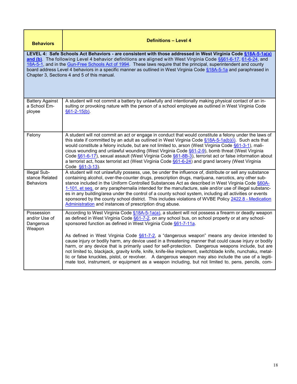| <b>Behaviors</b>                                                                                                                                                                                                                                                                                                                                                                                                                                                                                                            | <b>Definitions - Level 4</b>                                                                                                                                                                                                                                                                                                                                                                                                                                                                                                                                                                                                                                                                                  |  |
|-----------------------------------------------------------------------------------------------------------------------------------------------------------------------------------------------------------------------------------------------------------------------------------------------------------------------------------------------------------------------------------------------------------------------------------------------------------------------------------------------------------------------------|---------------------------------------------------------------------------------------------------------------------------------------------------------------------------------------------------------------------------------------------------------------------------------------------------------------------------------------------------------------------------------------------------------------------------------------------------------------------------------------------------------------------------------------------------------------------------------------------------------------------------------------------------------------------------------------------------------------|--|
| LEVEL 4: Safe Schools Act Behaviors - are consistent with those addressed in West Virginia Code §18A-5-1a(a)<br>and (b). The following Level 4 behavior definitions are aligned with West Virginia Code §§61-6-17, 61-6-24, and<br>18A-5-1, and in the Gun-Free Schools Act of 1994. These laws require that the principal, superintendent and county<br>board address Level 4 behaviors in a specific manner as outlined in West Virginia Code §18A-5-1a and paraphrased in<br>Chapter 3, Sections 4 and 5 of this manual. |                                                                                                                                                                                                                                                                                                                                                                                                                                                                                                                                                                                                                                                                                                               |  |
| <b>Battery Against</b><br>a School Em-<br>ployee                                                                                                                                                                                                                                                                                                                                                                                                                                                                            | A student will not commit a battery by unlawfully and intentionally making physical contact of an in-<br>sulting or provoking nature with the person of a school employee as outlined in West Virginia Code<br>$§61 - 2 - 15(b).$                                                                                                                                                                                                                                                                                                                                                                                                                                                                             |  |
| Felony                                                                                                                                                                                                                                                                                                                                                                                                                                                                                                                      | A student will not commit an act or engage in conduct that would constitute a felony under the laws of<br>this state if committed by an adult as outlined in West Virginia Code $§18A-5-1a(b)(i)$ . Such acts that<br>would constitute a felony include, but are not limited to, arson (West Virginia Code §61-3-1), mali-<br>cious wounding and unlawful wounding (West Virginia Code §61-2-9), bomb threat (West Virginia<br>Code §61-6-17), sexual assault (West Virginia Code §61-8B-3), terrorist act or false information about<br>a terrorist act, hoax terrorist act (West Virginia Code §61-6-24) and grand larceny (West Virginia<br>Code §61-3-13).                                                |  |
| Illegal Sub-<br>stance Related<br><b>Behaviors</b>                                                                                                                                                                                                                                                                                                                                                                                                                                                                          | A student will not unlawfully possess, use, be under the influence of, distribute or sell any substance<br>containing alcohol, over-the-counter drugs, prescription drugs, marijuana, narcotics, any other sub-<br>stance included in the Uniform Controlled Substances Act as described in West Virginia Code §60A-<br>1-101, et seq. or any paraphernalia intended for the manufacture, sale and/or use of illegal substanc-<br>es in any building/area under the control of a county school system, including all activities or events<br>sponsored by the county school district. This includes violations of WVBE Policy 2422.8 - Medication<br>Administration and instances of prescription drug abuse. |  |
| Possession<br>and/or Use of<br>Dangerous<br>Weapon                                                                                                                                                                                                                                                                                                                                                                                                                                                                          | According to West Virginia Code §18A-5-1a(a), a student will not possess a firearm or deadly weapon<br>as defined in West Virginia Code §61-7-2, on any school bus, on school property or at any school-<br>sponsored function as defined in West Virginia Code §61-7-11a.                                                                                                                                                                                                                                                                                                                                                                                                                                    |  |
|                                                                                                                                                                                                                                                                                                                                                                                                                                                                                                                             | As defined in West Virginia Code $§61-7-2$ , a "dangerous weapon" means any device intended to<br>cause injury or bodily harm, any device used in a threatening manner that could cause injury or bodily<br>harm, or any device that is primarily used for self-protection. Dangerous weapons include, but are<br>not limited to, blackjack, gravity knife, knife, knife-like implement, switchblade knife, nunchaku, metal-<br>lic or false knuckles, pistol, or revolver. A dangerous weapon may also include the use of a legiti-<br>mate tool, instrument, or equipment as a weapon including, but not limited to, pens, pencils, com-                                                                    |  |